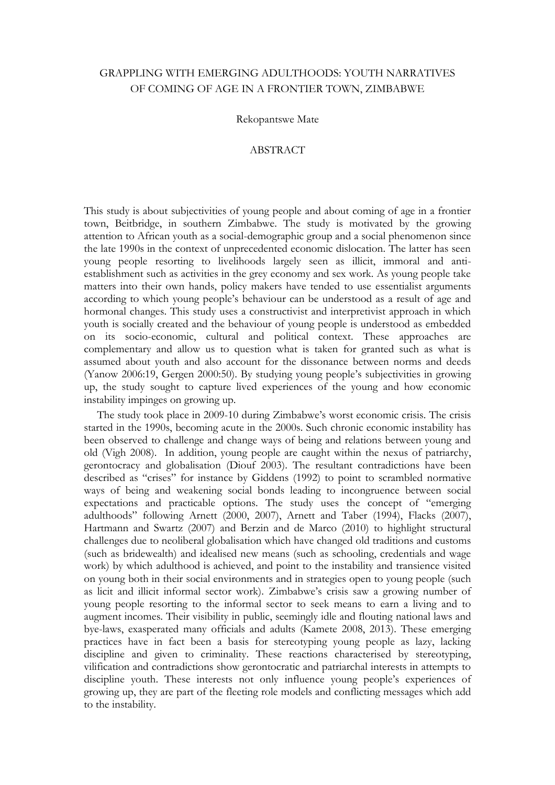## GRAPPLING WITH EMERGING ADULTHOODS: YOUTH NARRATIVES OF COMING OF AGE IN A FRONTIER TOWN, ZIMBABWE

Rekopantswe Mate

## ABSTRACT

This study is about subjectivities of young people and about coming of age in a frontier town, Beitbridge, in southern Zimbabwe. The study is motivated by the growing attention to African youth as a social-demographic group and a social phenomenon since the late 1990s in the context of unprecedented economic dislocation. The latter has seen young people resorting to livelihoods largely seen as illicit, immoral and antiestablishment such as activities in the grey economy and sex work. As young people take matters into their own hands, policy makers have tended to use essentialist arguments according to which young people's behaviour can be understood as a result of age and hormonal changes. This study uses a constructivist and interpretivist approach in which youth is socially created and the behaviour of young people is understood as embedded on its socio-economic, cultural and political context. These approaches are complementary and allow us to question what is taken for granted such as what is assumed about youth and also account for the dissonance between norms and deeds (Yanow 2006:19, Gergen 2000:50). By studying young people's subjectivities in growing up, the study sought to capture lived experiences of the young and how economic instability impinges on growing up.

The study took place in 2009-10 during Zimbabwe's worst economic crisis. The crisis started in the 1990s, becoming acute in the 2000s. Such chronic economic instability has been observed to challenge and change ways of being and relations between young and old (Vigh 2008). In addition, young people are caught within the nexus of patriarchy, gerontocracy and globalisation (Diouf 2003). The resultant contradictions have been described as "crises" for instance by Giddens (1992) to point to scrambled normative ways of being and weakening social bonds leading to incongruence between social expectations and practicable options. The study uses the concept of "emerging adulthoods" following Arnett (2000, 2007), Arnett and Taber (1994), Flacks (2007), Hartmann and Swartz (2007) and Berzin and de Marco (2010) to highlight structural challenges due to neoliberal globalisation which have changed old traditions and customs (such as bridewealth) and idealised new means (such as schooling, credentials and wage work) by which adulthood is achieved, and point to the instability and transience visited on young both in their social environments and in strategies open to young people (such as licit and illicit informal sector work). Zimbabwe's crisis saw a growing number of young people resorting to the informal sector to seek means to earn a living and to augment incomes. Their visibility in public, seemingly idle and flouting national laws and bye-laws, exasperated many officials and adults (Kamete 2008, 2013). These emerging practices have in fact been a basis for stereotyping young people as lazy, lacking discipline and given to criminality. These reactions characterised by stereotyping, vilification and contradictions show gerontocratic and patriarchal interests in attempts to discipline youth. These interests not only influence young people's experiences of growing up, they are part of the fleeting role models and conflicting messages which add to the instability.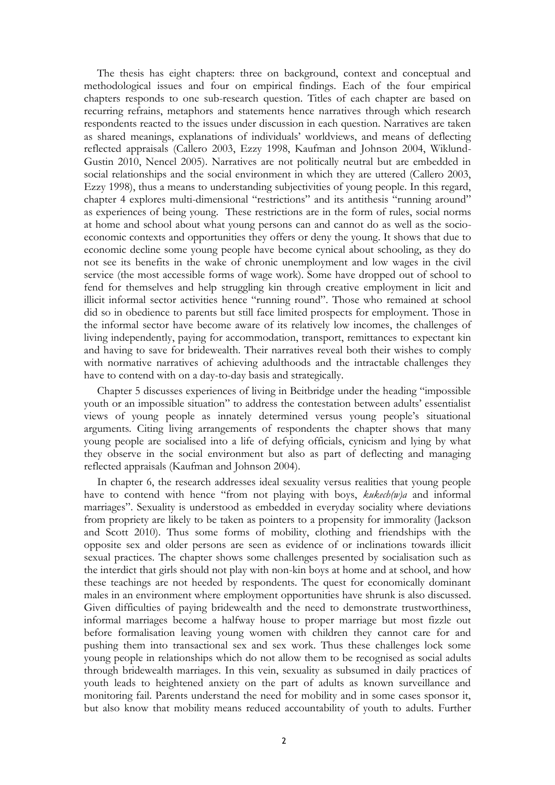The thesis has eight chapters: three on background, context and conceptual and methodological issues and four on empirical findings. Each of the four empirical chapters responds to one sub-research question. Titles of each chapter are based on recurring refrains, metaphors and statements hence narratives through which research respondents reacted to the issues under discussion in each question. Narratives are taken as shared meanings, explanations of individuals' worldviews, and means of deflecting reflected appraisals (Callero 2003, Ezzy 1998, Kaufman and Johnson 2004, Wiklund-Gustin 2010, Nencel 2005). Narratives are not politically neutral but are embedded in social relationships and the social environment in which they are uttered (Callero 2003, Ezzy 1998), thus a means to understanding subjectivities of young people. In this regard, chapter 4 explores multi-dimensional "restrictions" and its antithesis "running around" as experiences of being young. These restrictions are in the form of rules, social norms at home and school about what young persons can and cannot do as well as the socioeconomic contexts and opportunities they offers or deny the young. It shows that due to economic decline some young people have become cynical about schooling, as they do not see its benefits in the wake of chronic unemployment and low wages in the civil service (the most accessible forms of wage work). Some have dropped out of school to fend for themselves and help struggling kin through creative employment in licit and illicit informal sector activities hence "running round". Those who remained at school did so in obedience to parents but still face limited prospects for employment. Those in the informal sector have become aware of its relatively low incomes, the challenges of living independently, paying for accommodation, transport, remittances to expectant kin and having to save for bridewealth. Their narratives reveal both their wishes to comply with normative narratives of achieving adulthoods and the intractable challenges they have to contend with on a day-to-day basis and strategically.

Chapter 5 discusses experiences of living in Beitbridge under the heading "impossible youth or an impossible situation" to address the contestation between adults' essentialist views of young people as innately determined versus young people's situational arguments. Citing living arrangements of respondents the chapter shows that many young people are socialised into a life of defying officials, cynicism and lying by what they observe in the social environment but also as part of deflecting and managing reflected appraisals (Kaufman and Johnson 2004).

In chapter 6, the research addresses ideal sexuality versus realities that young people have to contend with hence "from not playing with boys, *kukech(w)a* and informal marriages". Sexuality is understood as embedded in everyday sociality where deviations from propriety are likely to be taken as pointers to a propensity for immorality (Jackson and Scott 2010). Thus some forms of mobility, clothing and friendships with the opposite sex and older persons are seen as evidence of or inclinations towards illicit sexual practices. The chapter shows some challenges presented by socialisation such as the interdict that girls should not play with non-kin boys at home and at school, and how these teachings are not heeded by respondents. The quest for economically dominant males in an environment where employment opportunities have shrunk is also discussed. Given difficulties of paying bridewealth and the need to demonstrate trustworthiness, informal marriages become a halfway house to proper marriage but most fizzle out before formalisation leaving young women with children they cannot care for and pushing them into transactional sex and sex work. Thus these challenges lock some young people in relationships which do not allow them to be recognised as social adults through bridewealth marriages. In this vein, sexuality as subsumed in daily practices of youth leads to heightened anxiety on the part of adults as known surveillance and monitoring fail. Parents understand the need for mobility and in some cases sponsor it, but also know that mobility means reduced accountability of youth to adults. Further